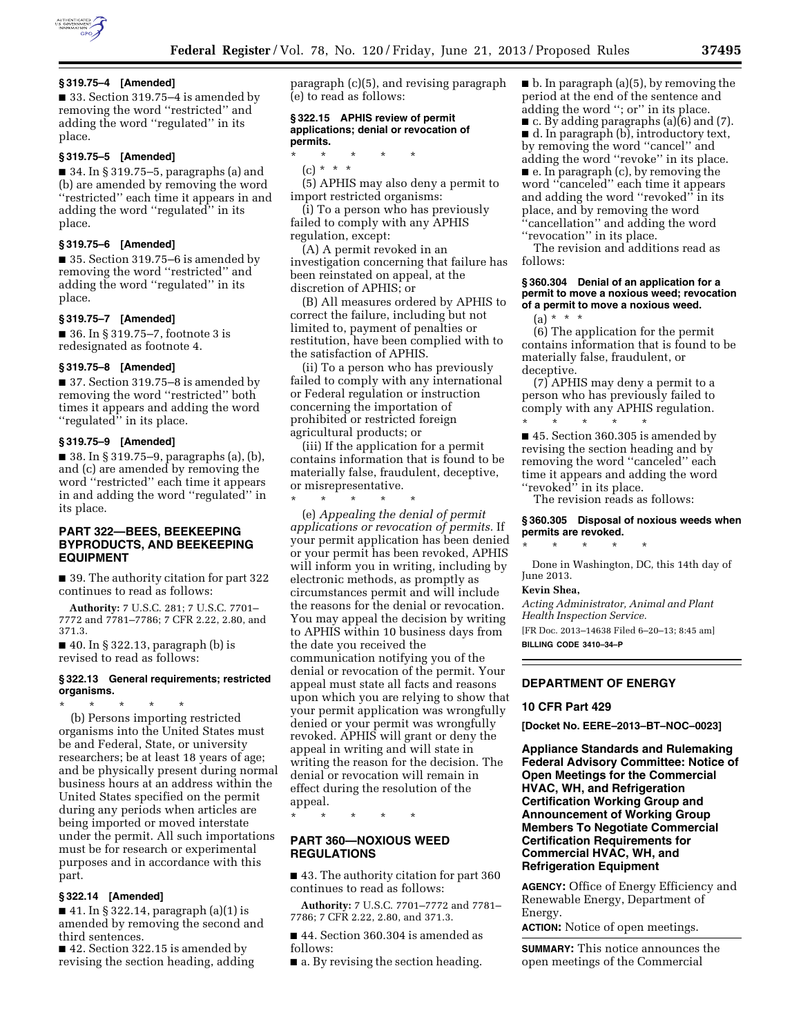

■ 33. Section 319.75–4 is amended by removing the word ''restricted'' and adding the word ''regulated'' in its place.

# **§ 319.75–5 [Amended]**

■ 34. In § 319.75–5, paragraphs (a) and (b) are amended by removing the word ''restricted'' each time it appears in and adding the word ''regulated'' in its place.

# **§ 319.75–6 [Amended]**

■ 35. Section 319.75–6 is amended by removing the word ''restricted'' and adding the word ''regulated'' in its place.

#### **§ 319.75–7 [Amended]**

■ 36. In § 319.75–7, footnote 3 is redesignated as footnote 4.

#### **§ 319.75–8 [Amended]**

■ 37. Section 319.75–8 is amended by removing the word ''restricted'' both times it appears and adding the word ''regulated'' in its place.

#### **§ 319.75–9 [Amended]**

■ 38. In § 319.75–9, paragraphs (a), (b), and (c) are amended by removing the word ''restricted'' each time it appears in and adding the word ''regulated'' in its place.

# **PART 322—BEES, BEEKEEPING BYPRODUCTS, AND BEEKEEPING EQUIPMENT**

■ 39. The authority citation for part 322 continues to read as follows:

**Authority:** 7 U.S.C. 281; 7 U.S.C. 7701– 7772 and 7781–7786; 7 CFR 2.22, 2.80, and 371.3.

 $\blacksquare$  40. In § 322.13, paragraph (b) is revised to read as follows:

## **§ 322.13 General requirements; restricted organisms.**

\* \* \* \* \* (b) Persons importing restricted organisms into the United States must be and Federal, State, or university researchers; be at least 18 years of age; and be physically present during normal business hours at an address within the United States specified on the permit during any periods when articles are being imported or moved interstate under the permit. All such importations must be for research or experimental purposes and in accordance with this part.

## **§ 322.14 [Amended]**

■ 41. In § 322.14, paragraph (a)(1) is amended by removing the second and third sentences.

■ 42. Section 322.15 is amended by revising the section heading, adding paragraph (c)(5), and revising paragraph (e) to read as follows:

## **§ 322.15 APHIS review of permit applications; denial or revocation of permits.**

- \* \* \* \* \*
- (c) \* \* \*

(5) APHIS may also deny a permit to import restricted organisms:

(i) To a person who has previously failed to comply with any APHIS regulation, except:

(A) A permit revoked in an investigation concerning that failure has been reinstated on appeal, at the discretion of APHIS; or

(B) All measures ordered by APHIS to correct the failure, including but not limited to, payment of penalties or restitution, have been complied with to the satisfaction of APHIS.

(ii) To a person who has previously failed to comply with any international or Federal regulation or instruction concerning the importation of prohibited or restricted foreign agricultural products; or

(iii) If the application for a permit contains information that is found to be materially false, fraudulent, deceptive, or misrepresentative.

\* \* \* \* \* (e) *Appealing the denial of permit applications or revocation of permits.* If your permit application has been denied or your permit has been revoked, APHIS will inform you in writing, including by electronic methods, as promptly as circumstances permit and will include the reasons for the denial or revocation. You may appeal the decision by writing to APHIS within 10 business days from the date you received the communication notifying you of the denial or revocation of the permit. Your appeal must state all facts and reasons upon which you are relying to show that your permit application was wrongfully denied or your permit was wrongfully revoked. APHIS will grant or deny the appeal in writing and will state in writing the reason for the decision. The denial or revocation will remain in effect during the resolution of the appeal.

\* \* \* \* \*

# **PART 360—NOXIOUS WEED REGULATIONS**

■ 43. The authority citation for part 360 continues to read as follows:

**Authority:** 7 U.S.C. 7701–7772 and 7781– 7786; 7 CFR 2.22, 2.80, and 371.3.

■ 44. Section 360.304 is amended as follows:

■ a. By revising the section heading.

 $\blacksquare$  b. In paragraph (a)(5), by removing the period at the end of the sentence and adding the word ''; or'' in its place. ■ c. By adding paragraphs (a)(6) and (7). ■ d. In paragraph (b), introductory text, by removing the word ''cancel'' and adding the word ''revoke'' in its place. ■ e. In paragraph (c), by removing the word ''canceled'' each time it appears and adding the word ''revoked'' in its place, and by removing the word ''cancellation'' and adding the word "revocation" in its place.

The revision and additions read as follows:

## **§ 360.304 Denial of an application for a permit to move a noxious weed; revocation of a permit to move a noxious weed.**

 $(a) * * * *$ 

(6) The application for the permit contains information that is found to be materially false, fraudulent, or deceptive.

(7) APHIS may deny a permit to a person who has previously failed to comply with any APHIS regulation. \* \* \* \* \*

■ 45. Section 360.305 is amended by revising the section heading and by removing the word ''canceled'' each time it appears and adding the word "revoked" in its place.

The revision reads as follows:

## **§ 360.305 Disposal of noxious weeds when permits are revoked.**

\* \* \* \* \*

Done in Washington, DC, this 14th day of June 2013.

# **Kevin Shea,**

*Acting Administrator, Animal and Plant Health Inspection Service.* 

[FR Doc. 2013–14638 Filed 6–20–13; 8:45 am] **BILLING CODE 3410–34–P** 

# **DEPARTMENT OF ENERGY**

## **10 CFR Part 429**

**[Docket No. EERE–2013–BT–NOC–0023]** 

**Appliance Standards and Rulemaking Federal Advisory Committee: Notice of Open Meetings for the Commercial HVAC, WH, and Refrigeration Certification Working Group and Announcement of Working Group Members To Negotiate Commercial Certification Requirements for Commercial HVAC, WH, and Refrigeration Equipment** 

**AGENCY:** Office of Energy Efficiency and Renewable Energy, Department of Energy.

**ACTION:** Notice of open meetings.

**SUMMARY:** This notice announces the open meetings of the Commercial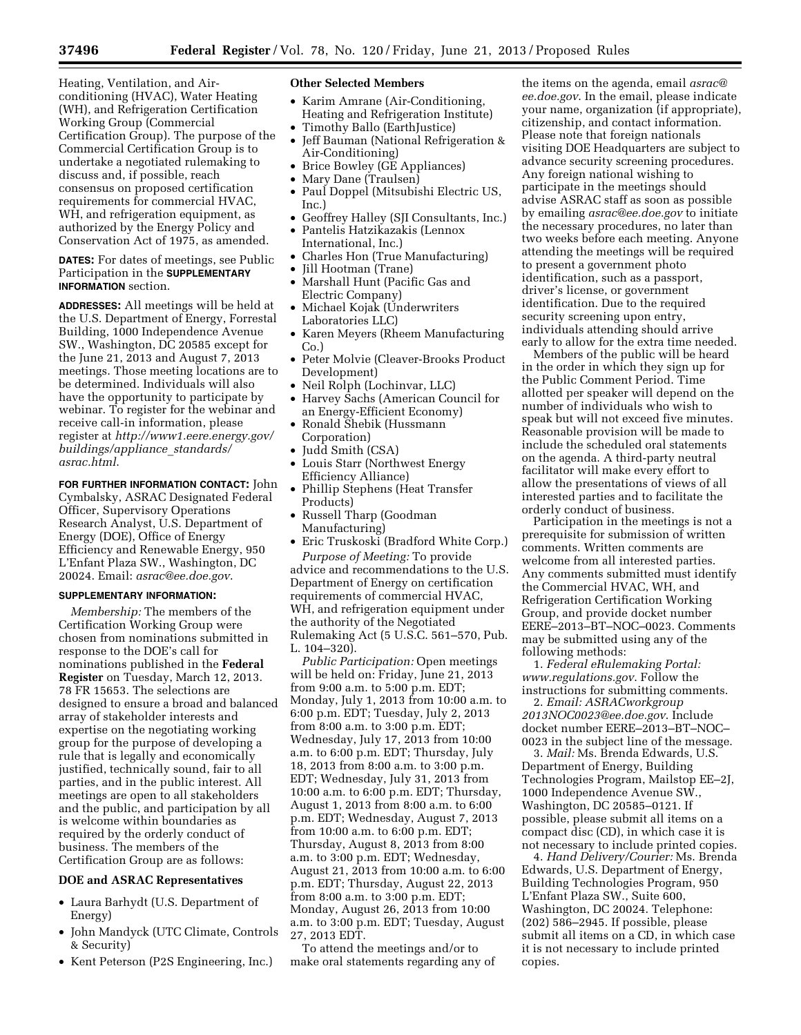Heating, Ventilation, and Airconditioning (HVAC), Water Heating (WH), and Refrigeration Certification Working Group (Commercial Certification Group). The purpose of the Commercial Certification Group is to undertake a negotiated rulemaking to discuss and, if possible, reach consensus on proposed certification requirements for commercial HVAC, WH, and refrigeration equipment, as authorized by the Energy Policy and Conservation Act of 1975, as amended.

# **DATES:** For dates of meetings, see Public Participation in the **SUPPLEMENTARY INFORMATION** section.

**ADDRESSES:** All meetings will be held at the U.S. Department of Energy, Forrestal Building, 1000 Independence Avenue SW., Washington, DC 20585 except for the June 21, 2013 and August 7, 2013 meetings. Those meeting locations are to be determined. Individuals will also have the opportunity to participate by webinar. To register for the webinar and receive call-in information, please register at *[http://www1.eere.energy.gov/](http://www1.eere.energy.gov/buildings/appliance_standards/asrac.html) [buildings/appliance](http://www1.eere.energy.gov/buildings/appliance_standards/asrac.html)*\_*standards/ [asrac.html](http://www1.eere.energy.gov/buildings/appliance_standards/asrac.html)*.

**FOR FURTHER INFORMATION CONTACT:** John Cymbalsky, ASRAC Designated Federal Officer, Supervisory Operations Research Analyst, U.S. Department of Energy (DOE), Office of Energy Efficiency and Renewable Energy, 950 L'Enfant Plaza SW., Washington, DC 20024. Email: *[asrac@ee.doe.gov](mailto:asrac@ee.doe.gov)*.

## **SUPPLEMENTARY INFORMATION:**

*Membership:* The members of the Certification Working Group were chosen from nominations submitted in response to the DOE's call for nominations published in the **Federal Register** on Tuesday, March 12, 2013. 78 FR 15653. The selections are designed to ensure a broad and balanced array of stakeholder interests and expertise on the negotiating working group for the purpose of developing a rule that is legally and economically justified, technically sound, fair to all parties, and in the public interest. All meetings are open to all stakeholders and the public, and participation by all is welcome within boundaries as required by the orderly conduct of business. The members of the Certification Group are as follows:

# **DOE and ASRAC Representatives**

- Laura Barhydt (U.S. Department of Energy)
- John Mandyck (UTC Climate, Controls & Security)
- Kent Peterson (P2S Engineering, Inc.)

#### **Other Selected Members**

- Karim Amrane (Air-Conditioning, Heating and Refrigeration Institute)
- Timothy Ballo (EarthJustice)
- Jeff Bauman (National Refrigeration & Air-Conditioning)
- Brice Bowley (GE Appliances)
- Mary Dane (Traulsen)
- Paul Doppel (Mitsubishi Electric US, Inc.)
- Geoffrey Halley (SJI Consultants, Inc.)
- Pantelis Hatzikazakis (Lennox International, Inc.)
- Charles Hon (True Manufacturing)
- Jill Hootman (Trane)
- Marshall Hunt (Pacific Gas and Electric Company)
- Michael Kojak (Underwriters Laboratories LLC)
- Karen Meyers (Rheem Manufacturing Co.)
- Peter Molvie (Cleaver-Brooks Product Development)
- Neil Rolph (Lochinvar, LLC)
- Harvey Sachs (American Council for an Energy-Efficient Economy)
- Ronald Shebik (Hussmann Corporation)
- Judd Smith (CSA)
- Louis Starr (Northwest Energy Efficiency Alliance)
- Phillip Stephens (Heat Transfer Products)
- Russell Tharp (Goodman Manufacturing)
- Eric Truskoski (Bradford White Corp.) *Purpose of Meeting:* To provide

advice and recommendations to the U.S. Department of Energy on certification requirements of commercial HVAC, WH, and refrigeration equipment under the authority of the Negotiated Rulemaking Act (5 U.S.C. 561–570, Pub. L. 104–320).

*Public Participation:* Open meetings will be held on: Friday, June 21, 2013 from 9:00 a.m. to 5:00 p.m. EDT; Monday, July 1, 2013 from 10:00 a.m. to 6:00 p.m. EDT; Tuesday, July 2, 2013 from 8:00 a.m. to 3:00 p.m. EDT; Wednesday, July 17, 2013 from 10:00 a.m. to 6:00 p.m. EDT; Thursday, July 18, 2013 from 8:00 a.m. to 3:00 p.m. EDT; Wednesday, July 31, 2013 from 10:00 a.m. to 6:00 p.m. EDT; Thursday, August 1, 2013 from 8:00 a.m. to 6:00 p.m. EDT; Wednesday, August 7, 2013 from 10:00 a.m. to 6:00 p.m. EDT; Thursday, August 8, 2013 from 8:00 a.m. to 3:00 p.m. EDT; Wednesday, August 21, 2013 from 10:00 a.m. to 6:00 p.m. EDT; Thursday, August 22, 2013 from 8:00 a.m. to 3:00 p.m. EDT; Monday, August 26, 2013 from 10:00 a.m. to 3:00 p.m. EDT; Tuesday, August 27, 2013 EDT.

To attend the meetings and/or to make oral statements regarding any of

the items on the agenda, email *[asrac@](mailto:asrac@ee.doe.gov) [ee.doe.gov](mailto:asrac@ee.doe.gov)*. In the email, please indicate your name, organization (if appropriate), citizenship, and contact information. Please note that foreign nationals visiting DOE Headquarters are subject to advance security screening procedures. Any foreign national wishing to participate in the meetings should advise ASRAC staff as soon as possible by emailing *[asrac@ee.doe.gov](mailto:asrac@ee.doe.gov)* to initiate the necessary procedures, no later than two weeks before each meeting. Anyone attending the meetings will be required to present a government photo identification, such as a passport, driver's license, or government identification. Due to the required security screening upon entry, individuals attending should arrive early to allow for the extra time needed.

Members of the public will be heard in the order in which they sign up for the Public Comment Period. Time allotted per speaker will depend on the number of individuals who wish to speak but will not exceed five minutes. Reasonable provision will be made to include the scheduled oral statements on the agenda. A third-party neutral facilitator will make every effort to allow the presentations of views of all interested parties and to facilitate the orderly conduct of business.

Participation in the meetings is not a prerequisite for submission of written comments. Written comments are welcome from all interested parties. Any comments submitted must identify the Commercial HVAC, WH, and Refrigeration Certification Working Group, and provide docket number EERE–2013–BT–NOC–0023. Comments may be submitted using any of the following methods:

1. *Federal eRulemaking Portal: [www.regulations.gov](http://www.regulations.gov)*. Follow the instructions for submitting comments.

2. *Email: [ASRACworkgroup](mailto:ASRACworkgroup2013NOC0023@ee.doe.gov) [2013NOC0023@ee.doe.gov](mailto:ASRACworkgroup2013NOC0023@ee.doe.gov)*. Include docket number EERE–2013–BT–NOC– 0023 in the subject line of the message.

3. *Mail:* Ms. Brenda Edwards, U.S. Department of Energy, Building Technologies Program, Mailstop EE–2J, 1000 Independence Avenue SW., Washington, DC 20585–0121. If possible, please submit all items on a compact disc (CD), in which case it is not necessary to include printed copies.

4. *Hand Delivery/Courier:* Ms. Brenda Edwards, U.S. Department of Energy, Building Technologies Program, 950 L'Enfant Plaza SW., Suite 600, Washington, DC 20024. Telephone: (202) 586–2945. If possible, please submit all items on a CD, in which case it is not necessary to include printed copies.